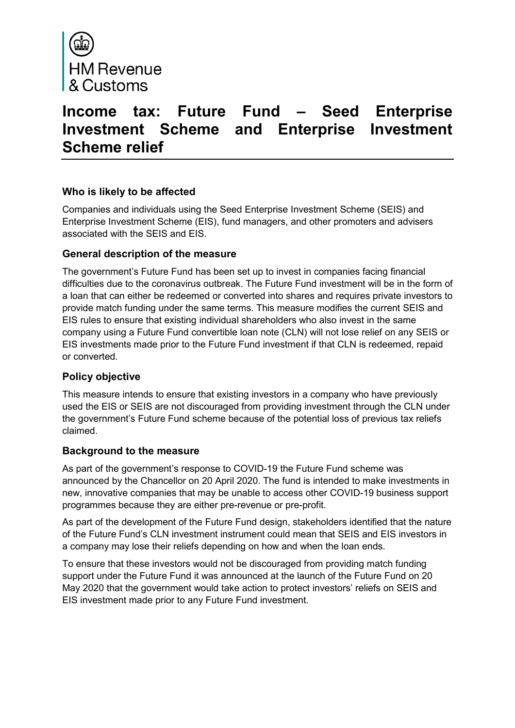

# **Income tax: Future Fund – Seed Enterprise Investment Scheme and Enterprise Investment Scheme relief**

## **Who is likely to be affected**

Companies and individuals using the Seed Enterprise Investment Scheme (SEIS) and Enterprise Investment Scheme (EIS), fund managers, and other promoters and advisers associated with the SEIS and EIS.

#### **General description of the measure**

The government's Future Fund has been set up to invest in companies facing financial difficulties due to the coronavirus outbreak. The Future Fund investment will be in the form of a loan that can either be redeemed or converted into shares and requires private investors to provide match funding under the same terms. This measure modifies the current SEIS and EIS rules to ensure that existing individual shareholders who also invest in the same company using a Future Fund convertible loan note (CLN) will not lose relief on any SEIS or EIS investments made prior to the Future Fund investment if that CLN is redeemed, repaid or converted.

#### **Policy objective**

This measure intends to ensure that existing investors in a company who have previously used the EIS or SEIS are not discouraged from providing investment through the CLN under the government's Future Fund scheme because of the potential loss of previous tax reliefs claimed.

#### **Background to the measure**

As part of the government's response to COVID-19 the Future Fund scheme was announced by the Chancellor on 20 April 2020. The fund is intended to make investments in new, innovative companies that may be unable to access other COVID-19 business support programmes because they are either pre-revenue or pre-profit.

As part of the development of the Future Fund design, stakeholders identified that the nature of the Future Fund's CLN investment instrument could mean that SEIS and EIS investors in a company may lose their reliefs depending on how and when the loan ends.

To ensure that these investors would not be discouraged from providing match funding support under the Future Fund it was announced at the launch of the Future Fund on 20 May 2020 that the government would take action to protect investors' reliefs on SEIS and EIS investment made prior to any Future Fund investment.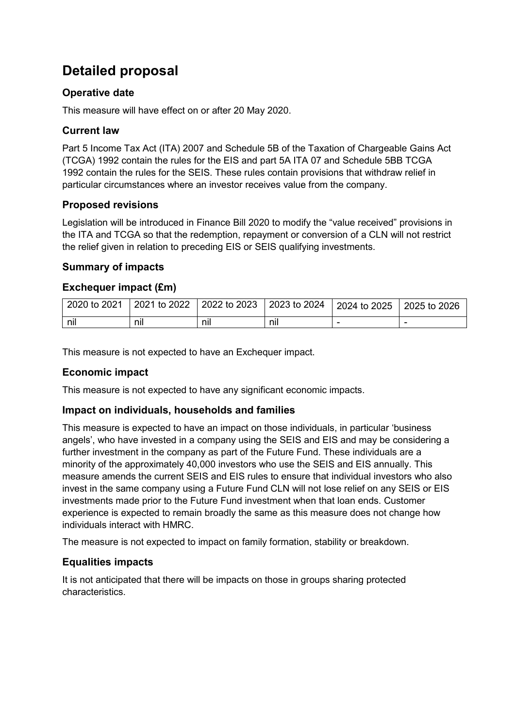# **Detailed proposal**

# **Operative date**

This measure will have effect on or after 20 May 2020.

# **Current law**

Part 5 Income Tax Act (ITA) 2007 and Schedule 5B of the Taxation of Chargeable Gains Act (TCGA) 1992 contain the rules for the EIS and part 5A ITA 07 and Schedule 5BB TCGA 1992 contain the rules for the SEIS. These rules contain provisions that withdraw relief in particular circumstances where an investor receives value from the company.

## **Proposed revisions**

Legislation will be introduced in Finance Bill 2020 to modify the "value received" provisions in the ITA and TCGA so that the redemption, repayment or conversion of a CLN will not restrict the relief given in relation to preceding EIS or SEIS qualifying investments.

## **Summary of impacts**

## **Exchequer impact (£m)**

| 2020 to 2021 |     | 2021 to 2022   2022 to 2023   2023 to 2024 |     | 2024 to 2025 2025 to 2026 |  |
|--------------|-----|--------------------------------------------|-----|---------------------------|--|
| nil          | nil | nıl                                        | nıl |                           |  |

This measure is not expected to have an Exchequer impact.

# **Economic impact**

This measure is not expected to have any significant economic impacts.

#### **Impact on individuals, households and families**

This measure is expected to have an impact on those individuals, in particular 'business angels', who have invested in a company using the SEIS and EIS and may be considering a further investment in the company as part of the Future Fund. These individuals are a minority of the approximately 40,000 investors who use the SEIS and EIS annually. This measure amends the current SEIS and EIS rules to ensure that individual investors who also invest in the same company using a Future Fund CLN will not lose relief on any SEIS or EIS investments made prior to the Future Fund investment when that loan ends. Customer experience is expected to remain broadly the same as this measure does not change how individuals interact with HMRC.

The measure is not expected to impact on family formation, stability or breakdown.

#### **Equalities impacts**

It is not anticipated that there will be impacts on those in groups sharing protected characteristics.